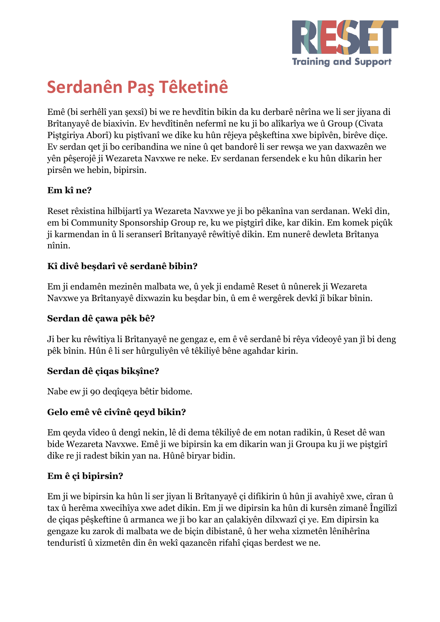

# **Serdanên Paş Têketinê**

Emê (bi serhêlî yan şexsî) bi we re hevdîtin bikin da ku derbarê nêrîna we li ser jiyana di Brîtanyayê de biaxivin. Ev hevdîtinên nefermî ne ku ji bo alîkarîya we û Group (Civata Piştgiriya Aborî) ku piştîvanî we dike ku hûn rêjeya pêşkeftina xwe bipîvên, birêve diçe. Ev serdan qet ji bo ceribandina we nine û qet bandorê li ser rewşa we yan daxwazên we yên pêşerojê ji Wezareta Navxwe re neke. Ev serdanan fersendek e ku hûn dikarin her pirsên we hebin, bipirsin.

## **Em kî ne?**

Reset rêxistina hilbijartî ya Wezareta Navxwe ye ji bo pêkanîna van serdanan. Wekî din, em bi Community Sponsorship Group re, ku we piştgirî dike, kar dikin. Em komek piçûk ji karmendan in û li seranserî Brîtanyayê rêwîtiyê dikin. Em nunerê dewleta Brîtanya nînin.

## **Kî divê beşdarî vê serdanê bibin?**

Em ji endamên mezinên malbata we, û yek ji endamê Reset û nûnerek ji Wezareta Navxwe ya Brîtanyayê dixwazin ku beşdar bin, û em ê wergêrek devkî jî bikar bînin.

### **Serdan dê çawa pêk bê?**

Ji ber ku rêwîtiya li Brîtanyayê ne gengaz e, em ê vê serdanê bi rêya vîdeoyê yan jî bi deng pêk bînin. Hûn ê li ser hûrguliyên vê têkiliyê bêne agahdar kirin.

# **Serdan dê çiqas bikşîne?**

Nabe ew ji 90 deqîqeya bêtir bidome.

# **Gelo emê vê civînê qeyd bikin?**

Em qeyda vîdeo û dengî nekin, lê di dema têkiliyê de em notan radikin, û Reset dê wan bide Wezareta Navxwe. Emê ji we bipirsin ka em dikarin wan ji Groupa ku ji we piştgirî dike re ji radest bikin yan na. Hûnê biryar bidin.

# **Em ê çi bipirsin?**

Em ji we bipirsin ka hûn li ser jiyan li Brîtanyayê çi difikirin û hûn ji avahiyê xwe, cîran û tax û herêma xwecihîya xwe adet dikin. Em ji we dipirsin ka hûn di kursên zimanê Îngilîzî de çiqas pêşkeftine û armanca we ji bo kar an çalakiyên dilxwazî çi ye. Em dipirsin ka gengaze ku zarok di malbata we de biçin dibistanê, û her weha xizmetên lênihêrîna tenduristî û xizmetên din ên wekî qazancên rifahî çiqas berdest we ne.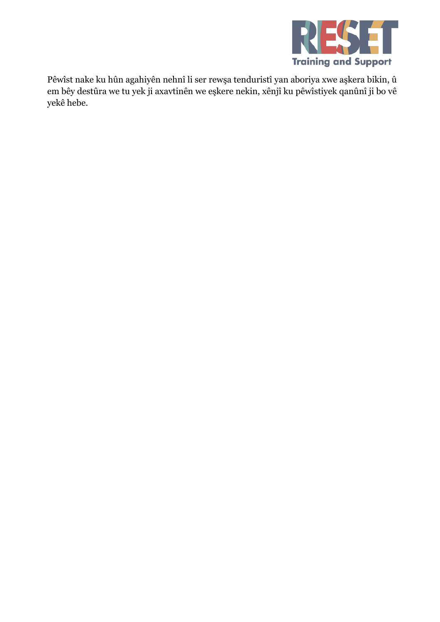

Pêwîst nake ku hûn agahiyên nehnî li ser rewşa tenduristî yan aboriya xwe aşkera bikin, û em bêy destûra we tu yek ji axavtinên we eşkere nekin, xênjî ku pêwîstiyek qanûnî ji bo vê yekê hebe.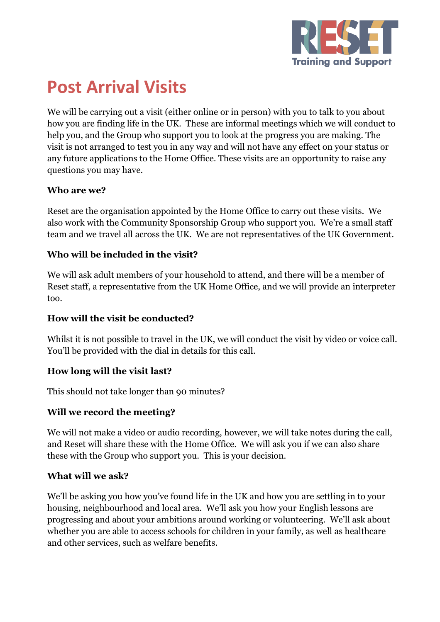

# **Post Arrival Visits**

We will be carrying out a visit (either online or in person) with you to talk to you about how you are finding life in the UK. These are informal meetings which we will conduct to help you, and the Group who support you to look at the progress you are making. The visit is not arranged to test you in any way and will not have any effect on your status or any future applications to the Home Office. These visits are an opportunity to raise any questions you may have.

## **Who are we?**

Reset are the organisation appointed by the Home Office to carry out these visits. We also work with the Community Sponsorship Group who support you. We're a small staff team and we travel all across the UK. We are not representatives of the UK Government.

## **Who will be included in the visit?**

We will ask adult members of your household to attend, and there will be a member of Reset staff, a representative from the UK Home Office, and we will provide an interpreter too.

### **How will the visit be conducted?**

Whilst it is not possible to travel in the UK, we will conduct the visit by video or voice call. You'll be provided with the dial in details for this call.

### **How long will the visit last?**

This should not take longer than 90 minutes?

### **Will we record the meeting?**

We will not make a video or audio recording, however, we will take notes during the call, and Reset will share these with the Home Office. We will ask you if we can also share these with the Group who support you. This is your decision.

### **What will we ask?**

We'll be asking you how you've found life in the UK and how you are settling in to your housing, neighbourhood and local area. We'll ask you how your English lessons are progressing and about your ambitions around working or volunteering. We'll ask about whether you are able to access schools for children in your family, as well as healthcare and other services, such as welfare benefits.